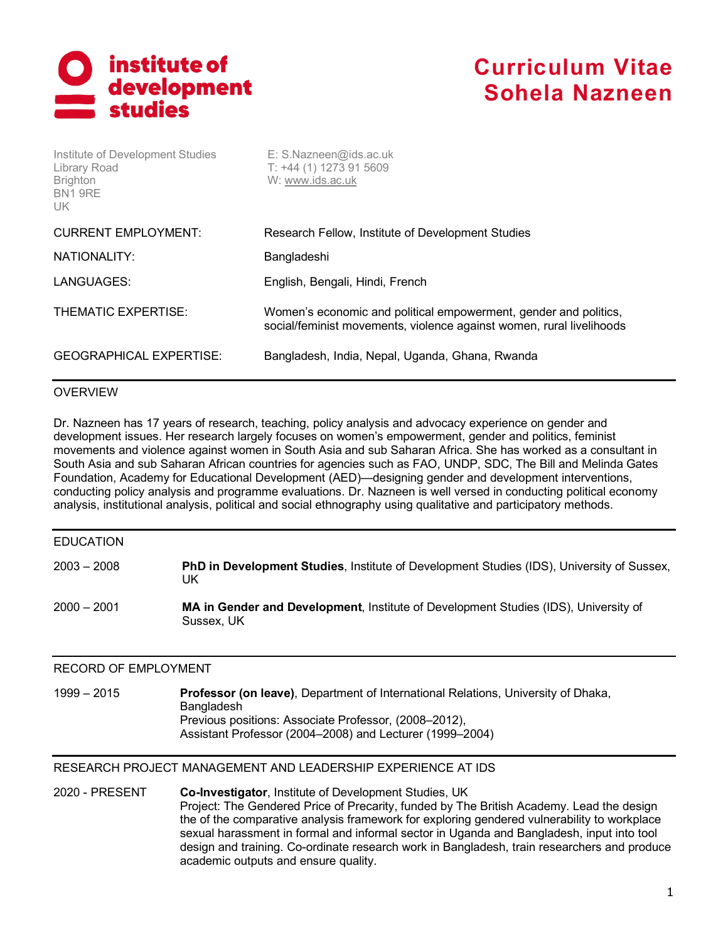

| Institute of Development Studies<br>Library Road<br><b>Brighton</b><br>BN19RE<br>UK | E: S.Nazneen@ids.ac.uk<br>$T: +44(1)$ 1273 91 5609<br>W: www.ids.ac.uk                                                                   |
|-------------------------------------------------------------------------------------|------------------------------------------------------------------------------------------------------------------------------------------|
| <b>CURRENT EMPLOYMENT:</b>                                                          | Research Fellow, Institute of Development Studies                                                                                        |
| NATIONALITY:                                                                        | Bangladeshi                                                                                                                              |
| LANGUAGES:                                                                          | English, Bengali, Hindi, French                                                                                                          |
| THEMATIC EXPERTISE:                                                                 | Women's economic and political empowerment, gender and politics,<br>social/feminist movements, violence against women, rural livelihoods |
| <b>GEOGRAPHICAL EXPERTISE:</b>                                                      | Bangladesh, India, Nepal, Uganda, Ghana, Rwanda                                                                                          |

### OVERVIEW

Dr. Nazneen has 17 years of research, teaching, policy analysis and advocacy experience on gender and development issues. Her research largely focuses on women's empowerment, gender and politics, feminist movements and violence against women in South Asia and sub Saharan Africa. She has worked as a consultant in South Asia and sub Saharan African countries for agencies such as FAO, UNDP, SDC, The Bill and Melinda Gates Foundation, Academy for Educational Development (AED)—designing gender and development interventions, conducting policy analysis and programme evaluations. Dr. Nazneen is well versed in conducting political economy analysis, institutional analysis, political and social ethnography using qualitative and participatory methods.

| $2000 - 2001$    | MA in Gender and Development, Institute of Development Studies (IDS), University of<br>Sussex, UK       |
|------------------|---------------------------------------------------------------------------------------------------------|
| $2003 - 2008$    | <b>PhD in Development Studies</b> , Institute of Development Studies (IDS), University of Sussex,<br>UK |
| <b>EDUCATION</b> |                                                                                                         |

### RECORD OF EMPLOYMENT

1999 – 2015 **Professor (on leave)**, Department of International Relations, University of Dhaka, **Bangladesh** Previous positions: Associate Professor, (2008–2012), Assistant Professor (2004–2008) and Lecturer (1999–2004)

### RESEARCH PROJECT MANAGEMENT AND LEADERSHIP EXPERIENCE AT IDS

2020 - PRESENT **Co-Investigator**, Institute of Development Studies, UK Project: The Gendered Price of Precarity, funded by The British Academy. Lead the design the of the comparative analysis framework for exploring gendered vulnerability to workplace sexual harassment in formal and informal sector in Uganda and Bangladesh, input into tool design and training. Co-ordinate research work in Bangladesh, train researchers and produce academic outputs and ensure quality.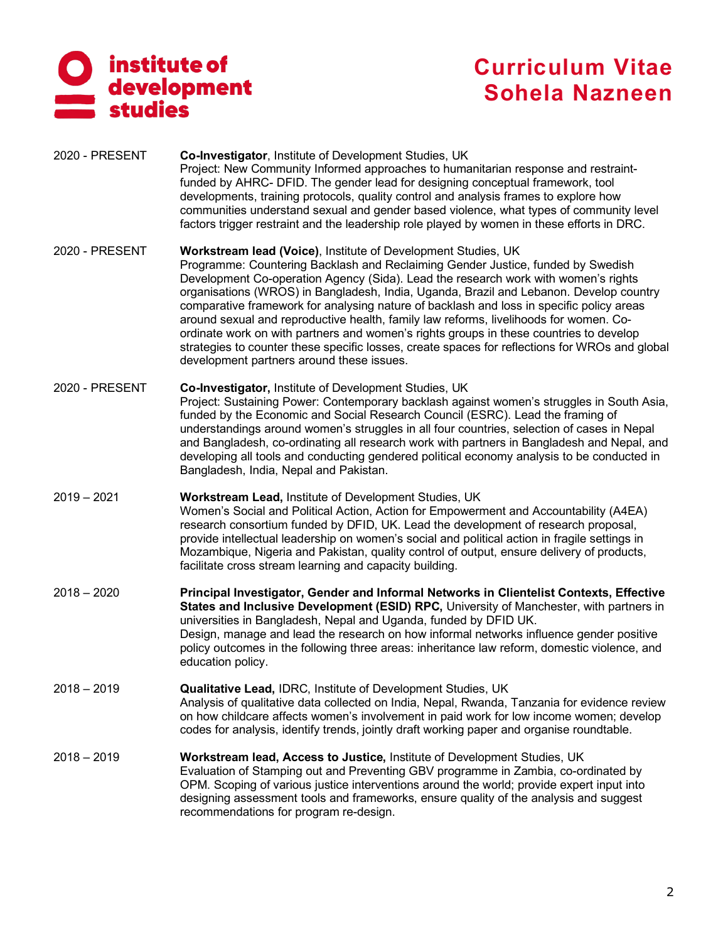

- 2020 PRESENT **Co-Investigator**, Institute of Development Studies, UK Project: New Community Informed approaches to humanitarian response and restraintfunded by AHRC- DFID. The gender lead for designing conceptual framework, tool developments, training protocols, quality control and analysis frames to explore how communities understand sexual and gender based violence, what types of community level factors trigger restraint and the leadership role played by women in these efforts in DRC.
- 2020 PRESENT **Workstream lead (Voice)**, Institute of Development Studies, UK Programme: Countering Backlash and Reclaiming Gender Justice, funded by Swedish Development Co-operation Agency (Sida). Lead the research work with women's rights organisations (WROS) in Bangladesh, India, Uganda, Brazil and Lebanon. Develop country comparative framework for analysing nature of backlash and loss in specific policy areas around sexual and reproductive health, family law reforms, livelihoods for women. Coordinate work on with partners and women's rights groups in these countries to develop strategies to counter these specific losses, create spaces for reflections for WROs and global development partners around these issues.
- 2020 PRESENT **Co-Investigator,** Institute of Development Studies, UK Project: Sustaining Power: Contemporary backlash against women's struggles in South Asia, funded by the Economic and Social Research Council (ESRC). Lead the framing of understandings around women's struggles in all four countries, selection of cases in Nepal and Bangladesh, co-ordinating all research work with partners in Bangladesh and Nepal, and developing all tools and conducting gendered political economy analysis to be conducted in Bangladesh, India, Nepal and Pakistan.
- 2019 2021 **Workstream Lead,** Institute of Development Studies, UK Women's Social and Political Action, Action for Empowerment and Accountability (A4EA) research consortium funded by DFID, UK. Lead the development of research proposal, provide intellectual leadership on women's social and political action in fragile settings in Mozambique, Nigeria and Pakistan, quality control of output, ensure delivery of products, facilitate cross stream learning and capacity building.
- 2018 2020 **Principal Investigator, Gender and Informal Networks in Clientelist Contexts, Effective States and Inclusive Development (ESID) RPC,** University of Manchester, with partners in universities in Bangladesh, Nepal and Uganda, funded by DFID UK. Design, manage and lead the research on how informal networks influence gender positive policy outcomes in the following three areas: inheritance law reform, domestic violence, and education policy.
- 2018 2019 **Qualitative Lead,** IDRC, Institute of Development Studies, UK Analysis of qualitative data collected on India, Nepal, Rwanda, Tanzania for evidence review on how childcare affects women's involvement in paid work for low income women; develop codes for analysis, identify trends, jointly draft working paper and organise roundtable.
- 2018 2019 **Workstream lead, Access to Justice,** Institute of Development Studies, UK Evaluation of Stamping out and Preventing GBV programme in Zambia, co-ordinated by OPM. Scoping of various justice interventions around the world; provide expert input into designing assessment tools and frameworks, ensure quality of the analysis and suggest recommendations for program re-design.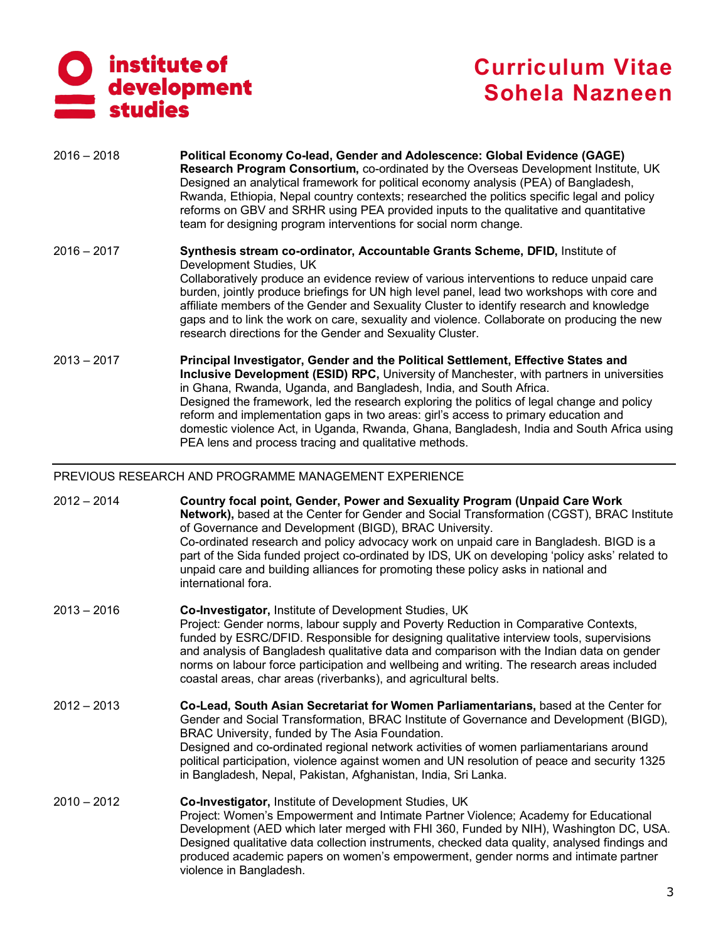

- 2016 2018 **Political Economy Co-lead, Gender and Adolescence: Global Evidence (GAGE) Research Program Consortium,** co-ordinated by the Overseas Development Institute, UK Designed an analytical framework for political economy analysis (PEA) of Bangladesh, Rwanda, Ethiopia, Nepal country contexts; researched the politics specific legal and policy reforms on GBV and SRHR using PEA provided inputs to the qualitative and quantitative team for designing program interventions for social norm change.
- 2016 2017 **Synthesis stream co-ordinator, Accountable Grants Scheme, DFID,** Institute of Development Studies, UK Collaboratively produce an evidence review of various interventions to reduce unpaid care burden, jointly produce briefings for UN high level panel, lead two workshops with core and affiliate members of the Gender and Sexuality Cluster to identify research and knowledge gaps and to link the work on care, sexuality and violence. Collaborate on producing the new research directions for the Gender and Sexuality Cluster.
- 2013 2017 **Principal Investigator, Gender and the Political Settlement, Effective States and Inclusive Development (ESID) RPC,** University of Manchester, with partners in universities in Ghana, Rwanda, Uganda, and Bangladesh, India, and South Africa. Designed the framework, led the research exploring the politics of legal change and policy reform and implementation gaps in two areas: girl's access to primary education and domestic violence Act, in Uganda, Rwanda, Ghana, Bangladesh, India and South Africa using PEA lens and process tracing and qualitative methods.

### PREVIOUS RESEARCH AND PROGRAMME MANAGEMENT EXPERIENCE

| $2012 - 2014$ | Country focal point, Gender, Power and Sexuality Program (Unpaid Care Work<br>Network), based at the Center for Gender and Social Transformation (CGST), BRAC Institute<br>of Governance and Development (BIGD), BRAC University.<br>Co-ordinated research and policy advocacy work on unpaid care in Bangladesh. BIGD is a<br>part of the Sida funded project co-ordinated by IDS, UK on developing 'policy asks' related to<br>unpaid care and building alliances for promoting these policy asks in national and<br>international fora. |
|---------------|--------------------------------------------------------------------------------------------------------------------------------------------------------------------------------------------------------------------------------------------------------------------------------------------------------------------------------------------------------------------------------------------------------------------------------------------------------------------------------------------------------------------------------------------|
| $2013 - 2016$ | Co-Investigator, Institute of Development Studies, UK<br>Project: Gender norms, labour supply and Poverty Reduction in Comparative Contexts,<br>funded by ESRC/DFID. Responsible for designing qualitative interview tools, supervisions<br>and analysis of Bangladesh qualitative data and comparison with the Indian data on gender<br>norms on labour force participation and wellbeing and writing. The research areas included<br>coastal areas, char areas (riverbanks), and agricultural belts.                                     |
| $2012 - 2013$ | Co-Lead, South Asian Secretariat for Women Parliamentarians, based at the Center for<br>Gender and Social Transformation, BRAC Institute of Governance and Development (BIGD),<br>BRAC University, funded by The Asia Foundation.<br>Designed and co-ordinated regional network activities of women parliamentarians around<br>political participation, violence against women and UN resolution of peace and security 1325<br>in Bangladesh, Nepal, Pakistan, Afghanistan, India, Sri Lanka.                                              |
| $2010 - 2012$ | Co-Investigator, Institute of Development Studies, UK<br>Project: Women's Empowerment and Intimate Partner Violence; Academy for Educational<br>Development (AED which later merged with FHI 360, Funded by NIH), Washington DC, USA.<br>Designed qualitative data collection instruments, checked data quality, analysed findings and<br>produced academic papers on women's empowerment, gender norms and intimate partner<br>violence in Bangladesh.                                                                                    |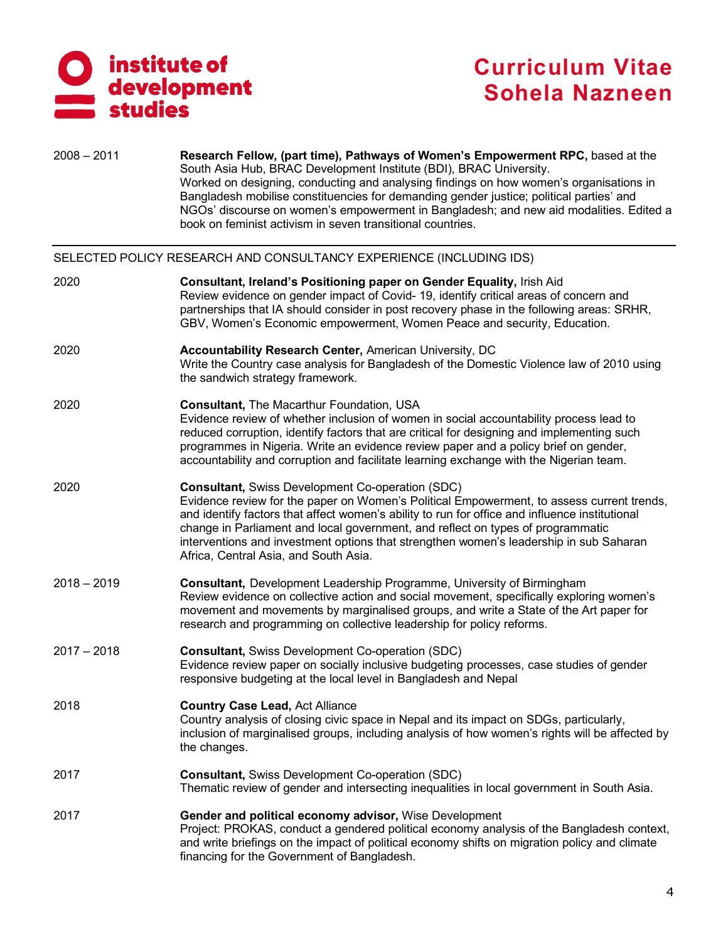

| $2008 - 2011$ | Research Fellow, (part time), Pathways of Women's Empowerment RPC, based at the<br>South Asia Hub, BRAC Development Institute (BDI), BRAC University.<br>Worked on designing, conducting and analysing findings on how women's organisations in<br>Bangladesh mobilise constituencies for demanding gender justice; political parties' and<br>NGOs' discourse on women's empowerment in Bangladesh; and new aid modalities. Edited a<br>book on feminist activism in seven transitional countries. |
|---------------|----------------------------------------------------------------------------------------------------------------------------------------------------------------------------------------------------------------------------------------------------------------------------------------------------------------------------------------------------------------------------------------------------------------------------------------------------------------------------------------------------|
|               | SELECTED POLICY RESEARCH AND CONSULTANCY EXPERIENCE (INCLUDING IDS)                                                                                                                                                                                                                                                                                                                                                                                                                                |
| 2020          | Consultant, Ireland's Positioning paper on Gender Equality, Irish Aid<br>Review evidence on gender impact of Covid-19, identify critical areas of concern and<br>partnerships that IA should consider in post recovery phase in the following areas: SRHR,<br>GBV, Women's Economic empowerment, Women Peace and security, Education.                                                                                                                                                              |
| 2020          | Accountability Research Center, American University, DC<br>Write the Country case analysis for Bangladesh of the Domestic Violence law of 2010 using<br>the sandwich strategy framework.                                                                                                                                                                                                                                                                                                           |
| 2020          | Consultant, The Macarthur Foundation, USA<br>Evidence review of whether inclusion of women in social accountability process lead to<br>reduced corruption, identify factors that are critical for designing and implementing such<br>programmes in Nigeria. Write an evidence review paper and a policy brief on gender,<br>accountability and corruption and facilitate learning exchange with the Nigerian team.                                                                                 |
| 2020          | <b>Consultant, Swiss Development Co-operation (SDC)</b><br>Evidence review for the paper on Women's Political Empowerment, to assess current trends,<br>and identify factors that affect women's ability to run for office and influence institutional<br>change in Parliament and local government, and reflect on types of programmatic<br>interventions and investment options that strengthen women's leadership in sub Saharan<br>Africa, Central Asia, and South Asia.                       |
| $2018 - 2019$ | <b>Consultant, Development Leadership Programme, University of Birmingham</b><br>Review evidence on collective action and social movement, specifically exploring women's<br>movement and movements by marginalised groups, and write a State of the Art paper for<br>research and programming on collective leadership for policy reforms.                                                                                                                                                        |
| $2017 - 2018$ | <b>Consultant, Swiss Development Co-operation (SDC)</b><br>Evidence review paper on socially inclusive budgeting processes, case studies of gender<br>responsive budgeting at the local level in Bangladesh and Nepal                                                                                                                                                                                                                                                                              |
| 2018          | <b>Country Case Lead, Act Alliance</b><br>Country analysis of closing civic space in Nepal and its impact on SDGs, particularly,<br>inclusion of marginalised groups, including analysis of how women's rights will be affected by<br>the changes.                                                                                                                                                                                                                                                 |
| 2017          | <b>Consultant, Swiss Development Co-operation (SDC)</b><br>Thematic review of gender and intersecting inequalities in local government in South Asia.                                                                                                                                                                                                                                                                                                                                              |
| 2017          | Gender and political economy advisor, Wise Development<br>Project: PROKAS, conduct a gendered political economy analysis of the Bangladesh context,<br>and write briefings on the impact of political economy shifts on migration policy and climate<br>financing for the Government of Bangladesh.                                                                                                                                                                                                |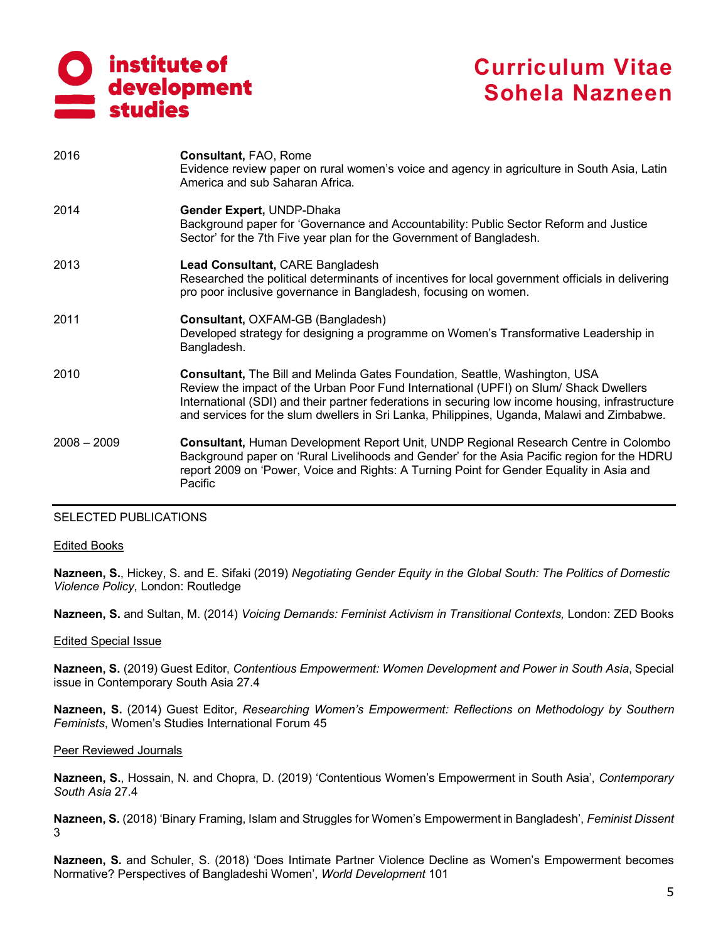# institute of<br>development studies

# **Curriculum Vitae Sohela Nazneen**

| 2016          | Consultant, FAO, Rome<br>Evidence review paper on rural women's voice and agency in agriculture in South Asia, Latin<br>America and sub Saharan Africa.                                                                                                                                                                                                                       |
|---------------|-------------------------------------------------------------------------------------------------------------------------------------------------------------------------------------------------------------------------------------------------------------------------------------------------------------------------------------------------------------------------------|
| 2014          | Gender Expert, UNDP-Dhaka<br>Background paper for 'Governance and Accountability: Public Sector Reform and Justice<br>Sector' for the 7th Five year plan for the Government of Bangladesh.                                                                                                                                                                                    |
| 2013          | Lead Consultant, CARE Bangladesh<br>Researched the political determinants of incentives for local government officials in delivering<br>pro poor inclusive governance in Bangladesh, focusing on women.                                                                                                                                                                       |
| 2011          | Consultant, OXFAM-GB (Bangladesh)<br>Developed strategy for designing a programme on Women's Transformative Leadership in<br>Bangladesh.                                                                                                                                                                                                                                      |
| 2010          | <b>Consultant, The Bill and Melinda Gates Foundation, Seattle, Washington, USA</b><br>Review the impact of the Urban Poor Fund International (UPFI) on Slum/ Shack Dwellers<br>International (SDI) and their partner federations in securing low income housing, infrastructure<br>and services for the slum dwellers in Sri Lanka, Philippines, Uganda, Malawi and Zimbabwe. |
| $2008 - 2009$ | <b>Consultant, Human Development Report Unit, UNDP Regional Research Centre in Colombo</b><br>Background paper on 'Rural Livelihoods and Gender' for the Asia Pacific region for the HDRU<br>report 2009 on 'Power, Voice and Rights: A Turning Point for Gender Equality in Asia and<br>Pacific                                                                              |

### SELECTED PUBLICATIONS

#### Edited Books

**Nazneen, S.**, Hickey, S. and E. Sifaki (2019) *Negotiating Gender Equity in the Global South: The Politics of Domestic Violence Policy*, London: Routledge

**Nazneen, S.** and Sultan, M. (2014) *Voicing Demands: Feminist Activism in Transitional Contexts,* London: ZED Books

### Edited Special Issue

**Nazneen, S.** (2019) Guest Editor, *Contentious Empowerment: Women Development and Power in South Asia*, Special issue in Contemporary South Asia 27.4

**Nazneen, S.** (2014) Guest Editor, *Researching Women's Empowerment: Reflections on Methodology by Southern Feminists*, Women's Studies International Forum 45

#### Peer Reviewed Journals

**Nazneen, S.**, Hossain, N. and Chopra, D. (2019) 'Contentious Women's Empowerment in South Asia', *Contemporary South Asia* 27.4

**Nazneen, S.** (2018) 'Binary Framing, Islam and Struggles for Women's Empowerment in Bangladesh', *Feminist Dissent* 3

**Nazneen, S.** and Schuler, S. (2018) 'Does Intimate Partner Violence Decline as Women's Empowerment becomes Normative? Perspectives of Bangladeshi Women', *World Development* 101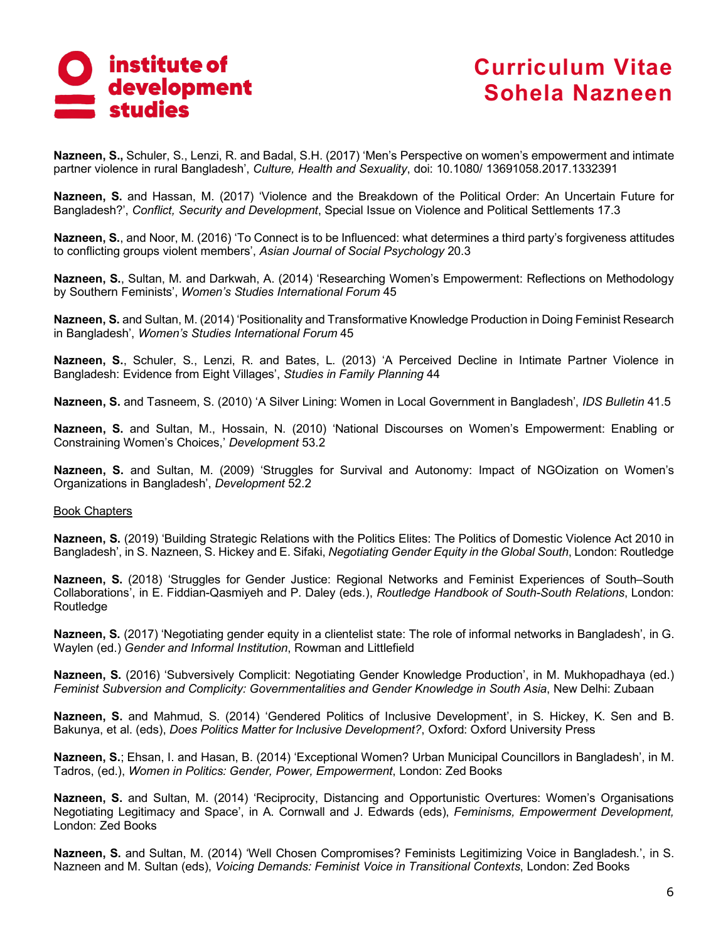

**Nazneen, S.,** Schuler, S., Lenzi, R. and Badal, S.H. (2017) 'Men's Perspective on women's empowerment and intimate partner violence in rural Bangladesh', *Culture, Health and Sexuality*, doi: 10.1080/ 13691058.2017.1332391

**Nazneen, S.** and Hassan, M. (2017) 'Violence and the Breakdown of the Political Order: An Uncertain Future for Bangladesh?', *Conflict, Security and Development*, Special Issue on Violence and Political Settlements 17.3

**Nazneen, S.**, and Noor, M. (2016) 'To Connect is to be Influenced: what determines a third party's forgiveness attitudes to conflicting groups violent members', *Asian Journal of Social Psychology* 20.3

**Nazneen, S.**, Sultan, M. and Darkwah, A. (2014) 'Researching Women's Empowerment: Reflections on Methodology by Southern Feminists', *Women's Studies International Forum* 45

**Nazneen, S.** and Sultan, M. (2014) 'Positionality and Transformative Knowledge Production in Doing Feminist Research in Bangladesh', *Women's Studies International Forum* 45

**Nazneen, S.**, Schuler, S., Lenzi, R. and Bates, L. (2013) 'A Perceived Decline in Intimate Partner Violence in Bangladesh: Evidence from Eight Villages', *Studies in Family Planning* 44

**Nazneen, S.** and Tasneem, S. (2010) 'A Silver Lining: Women in Local Government in Bangladesh', *IDS Bulletin* 41.5

**Nazneen, S.** and Sultan, M., Hossain, N. (2010) 'National Discourses on Women's Empowerment: Enabling or Constraining Women's Choices,' *Development* 53.2

**Nazneen, S.** and Sultan, M. (2009) 'Struggles for Survival and Autonomy: Impact of NGOization on Women's Organizations in Bangladesh', *Development* 52.2

#### Book Chapters

**Nazneen, S.** (2019) 'Building Strategic Relations with the Politics Elites: The Politics of Domestic Violence Act 2010 in Bangladesh', in S. Nazneen, S. Hickey and E. Sifaki, *Negotiating Gender Equity in the Global South*, London: Routledge

**Nazneen, S.** (2018) 'Struggles for Gender Justice: Regional Networks and Feminist Experiences of South–South Collaborations', in E. Fiddian-Qasmiyeh and P. Daley (eds.), *Routledge Handbook of South-South Relations*, London: Routledge

**Nazneen, S.** (2017) 'Negotiating gender equity in a clientelist state: The role of informal networks in Bangladesh', in G. Waylen (ed.) *Gender and Informal Institution*, Rowman and Littlefield

**Nazneen, S.** (2016) 'Subversively Complicit: Negotiating Gender Knowledge Production', in M. Mukhopadhaya (ed.) *Feminist Subversion and Complicity: Governmentalities and Gender Knowledge in South Asia*, New Delhi: Zubaan

**Nazneen, S.** and Mahmud, S. (2014) 'Gendered Politics of Inclusive Development', in S. Hickey, K. Sen and B. Bakunya, et al. (eds), *Does Politics Matter for Inclusive Development?*, Oxford: Oxford University Press

**Nazneen, S.**; Ehsan, I. and Hasan, B. (2014) 'Exceptional Women? Urban Municipal Councillors in Bangladesh', in M. Tadros, (ed.), *Women in Politics: Gender, Power, Empowerment*, London: Zed Books

**Nazneen, S.** and Sultan, M. (2014) 'Reciprocity, Distancing and Opportunistic Overtures: Women's Organisations Negotiating Legitimacy and Space', in A. Cornwall and J. Edwards (eds), *Feminisms, Empowerment Development,* London: Zed Books

**Nazneen, S.** and Sultan, M. (2014) 'Well Chosen Compromises? Feminists Legitimizing Voice in Bangladesh.', in S. Nazneen and M. Sultan (eds), *Voicing Demands: Feminist Voice in Transitional Contexts*, London: Zed Books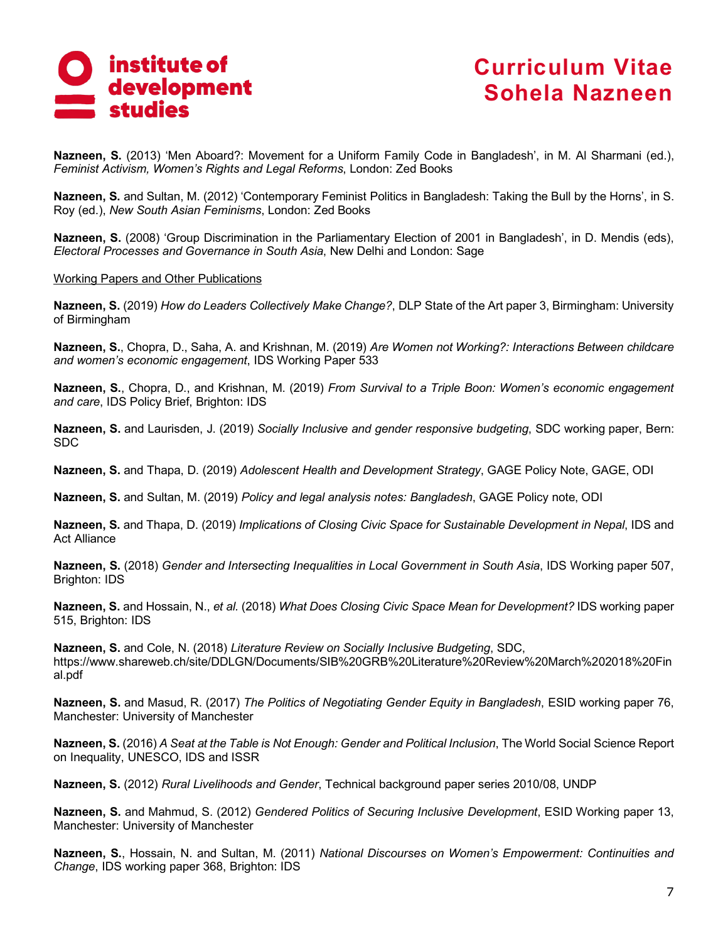

**Nazneen, S.** (2013) 'Men Aboard?: Movement for a Uniform Family Code in Bangladesh', in M. Al Sharmani (ed.), *Feminist Activism, Women's Rights and Legal Reforms*, London: Zed Books

**Nazneen, S.** and Sultan, M. (2012) 'Contemporary Feminist Politics in Bangladesh: Taking the Bull by the Horns', in S. Roy (ed.), *New South Asian Feminisms*, London: Zed Books

**Nazneen, S.** (2008) 'Group Discrimination in the Parliamentary Election of 2001 in Bangladesh', in D. Mendis (eds), *Electoral Processes and Governance in South Asia*, New Delhi and London: Sage

#### Working Papers and Other Publications

**Nazneen, S.** (2019) *How do Leaders Collectively Make Change?*, DLP State of the Art paper 3, Birmingham: University of Birmingham

**Nazneen, S.**, Chopra, D., Saha, A. and Krishnan, M. (2019) *Are Women not Working?: Interactions Between childcare and women's economic engagement*, IDS Working Paper 533

**Nazneen, S.**, Chopra, D., and Krishnan, M. (2019) *From Survival to a Triple Boon: Women's economic engagement and care*, IDS Policy Brief, Brighton: IDS

**Nazneen, S.** and Laurisden, J. (2019) *Socially Inclusive and gender responsive budgeting*, SDC working paper, Bern: SDC

**Nazneen, S.** and Thapa, D. (2019) *Adolescent Health and Development Strategy*, GAGE Policy Note, GAGE, ODI

**Nazneen, S.** and Sultan, M. (2019) *Policy and legal analysis notes: Bangladesh*, GAGE Policy note, ODI

**Nazneen, S.** and Thapa, D. (2019) *Implications of Closing Civic Space for Sustainable Development in Nepal*, IDS and Act Alliance

**Nazneen, S.** (2018) *Gender and Intersecting Inequalities in Local Government in South Asia*, IDS Working paper 507, Brighton: IDS

**Nazneen, S.** and Hossain, N., *et al.* (2018) *What Does Closing Civic Space Mean for Development?* IDS working paper 515, Brighton: IDS

**Nazneen, S.** and Cole, N. (2018) *Literature Review on Socially Inclusive Budgeting*, SDC, https://www.shareweb.ch/site/DDLGN/Documents/SIB%20GRB%20Literature%20Review%20March%202018%20Fin al.pdf

**Nazneen, S.** and Masud, R. (2017) *The Politics of Negotiating Gender Equity in Bangladesh*, ESID working paper 76, Manchester: University of Manchester

**Nazneen, S.** (2016) *A Seat at the Table is Not Enough: Gender and Political Inclusion*, The World Social Science Report on Inequality, UNESCO, IDS and ISSR

**Nazneen, S.** (2012) *Rural Livelihoods and Gender*, Technical background paper series 2010/08, UNDP

**Nazneen, S.** and Mahmud, S. (2012) *Gendered Politics of Securing Inclusive Development*, ESID Working paper 13, Manchester: University of Manchester

**Nazneen, S.**, Hossain, N. and Sultan, M. (2011) *National Discourses on Women's Empowerment: Continuities and Change*, IDS working paper 368, Brighton: IDS